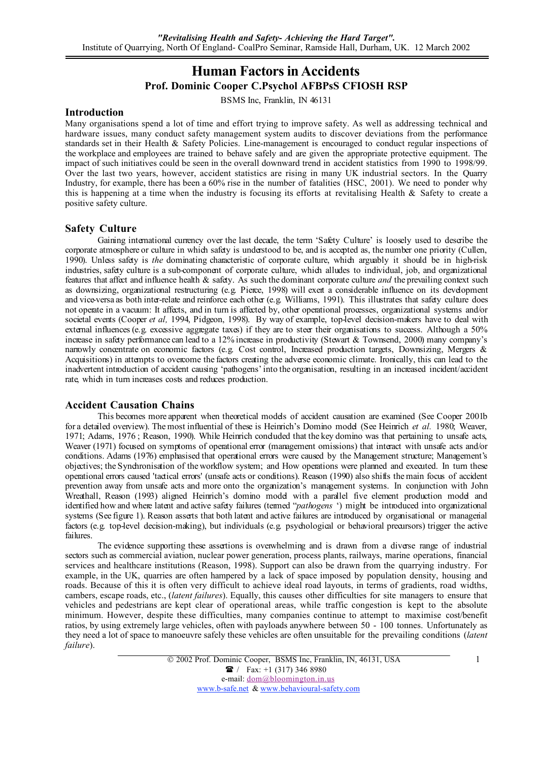# Human Factors in Accidents Prof. Dominic Cooper C.Psychol AFBPsS CFIOSH RSP

BSMS Inc, Franklin, IN 46131

### Introduction

Many organisations spend a lot of time and effort trying to improve safety. As well as addressing technical and hardware issues, many conduct safety management system audits to discover deviations from the performance standards set in their Health & Safety Policies. Line-management is encouraged to conduct regular inspections of the workplace and employees are trained to behave safely and are given the appropriate protective equipment. The impact of such initiatives could be seen in the overall downward trend in accident statistics from 1990 to 1998/99. Over the last two years, however, accident statistics are rising in many UK industrial sectors. In the Quarry Industry, for example, there has been a 60% rise in the number of fatalities (HSC, 2001). We need to ponder why this is happening at a time when the industry is focusing its efforts at revitalising Health & Safety to create a positive safety culture.

### Safety Culture

Gaining international currency over the last decade, the term 'Safety Culture' is loosely used to describe the corporate atmosphere or culture in which safety is understood to be, and is accepted as, the number one priority (Cullen, 1990). Unless safety is *the* dominating characteristic of corporate culture, which arguably it should be in high-risk industries, safety culture is a sub-component of corporate culture, which alludes to individual, job, and organizational features that affect and influence health & safety. As such the dominant corporate culture *and* the prevailing context such as downsizing, organizational restructuring (e.g. Pierce, 1998) will exert a considerable influence on its development and vice-versa as both inter-relate and reinforce each other (e.g. Williams, 1991). This illustrates that safety culture does not operate in a vacuum: It affects, and in turn is affected by, other operational processes, organizational systems and/or societal events (Cooper *et al,* 1994, Pidgeon, 1998). By way of example, top-level decision-makers have to deal with external influences (e.g. excessive aggregate taxes) if they are to steer their organisations to success. Although a 50% increase in safety performance can lead to a 12% increase in productivity (Stewart & Townsend, 2000) many company's narrowly concentrate on economic factors (e.g. Cost control, Increased production targets, Downsizing, Mergers & Acquisitions) in attempts to overcome the factors creating the adverse economic climate. Ironically, this can lead to the inadvertent introduction of accident causing 'pathogens' into the organisation, resulting in an increased incident/accident rate, which in turn increases costs and reduces production.

### Accident Causation Chains

This becomes more apparent when theoretical models of accident causation are examined (See Cooper 2001b for a detailed overview). The most influential of these is Heinrich's Domino model (See Heinrich *et al.* 1980; Weaver, 1971; Adams, 1976 ; Reason, 1990). While Heinrich concluded that the key domino was that pertaining to unsafe acts, Weaver (1971) focused on symptoms of operational error (management omissions) that interact with unsafe acts and/or conditions. Adams (1976) emphasised that operational errors were caused by the Management structure; Management's objectives; the Synchronisation of the workflow system; and How operations were planned and executed. In turn these operational errors caused 'tactical errors' (unsafe acts or conditions). Reason (1990) also shifts the main focus of accident prevention away from unsafe acts and more onto the organization's management systems. In conjunction with John Wreathall, Reason (1993) aligned Heinrich's domino model with a parallel five element production model and identified how and where latent and active safety failures (termed "*pathogens* ') might be introduced into organizational systems (See figure 1). Reason asserts that both latent and active failures are introduced by organisational or managerial factors (e.g. top-level decision-making), but individuals (e.g. psychological or behavioral precursors) trigger the active failures.

The evidence supporting these assertions is overwhelming and is drawn from a diverse range of industrial sectors such as commercial aviation, nuclear power generation, process plants, railways, marine operations, financial services and healthcare institutions (Reason, 1998). Support can also be drawn from the quarrying industry. For example, in the UK, quarries are often hampered by a lack of space imposed by population density, housing and roads. Because of this it is often very difficult to achieve ideal road layouts, in terms of gradients, road widths, cambers, escape roads, etc., (*latent failures*). Equally, this causes other difficulties for site managers to ensure that vehicles and pedestrians are kept clear of operational areas, while traffic congestion is kept to the absolute minimum. However, despite these difficulties, many companies continue to attempt to maximise cost/benefit ratios, by using extremely large vehicles, often with payloads anywhere between 50 - 100 tonnes. Unfortunately as they need a lot of space to manoeuvre safely these vehicles are often unsuitable for the prevailing conditions (*latent failure*).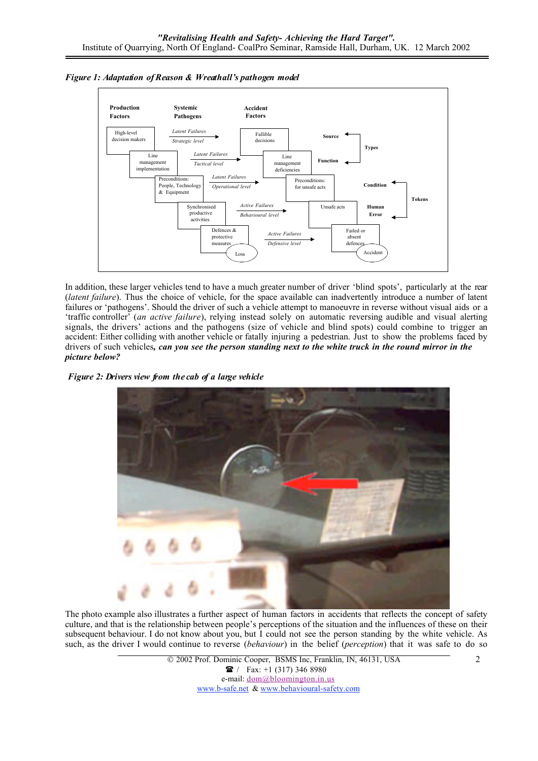

*Figure 1: Adaptation of Reason & Wreathall's pathogen model*

In addition, these larger vehicles tend to have a much greater number of driver 'blind spots', particularly at the rear (*latent failure*). Thus the choice of vehicle, for the space available can inadvertently introduce a number of latent failures or 'pathogens'. Should the driver of such a vehicle attempt to manoeuvre in reverse without visual aids or a 'traffic controller' (*an active failure*), relying instead solely on automatic reversing audible and visual alerting signals, the drivers' actions and the pathogens (size of vehicle and blind spots) could combine to trigger an accident: Either colliding with another vehicle or fatally injuring a pedestrian. Just to show the problems faced by drivers of such vehicles*, can you see the person standing next to the white truck in the round mirror in the picture below?*

*Figure 2: Drivers view from the cab of a large vehicle*



The photo example also illustrates a further aspect of human factors in accidents that reflects the concept of safety culture, and that is the relationship between people's perceptions of the situation and the influences of these on their subsequent behaviour. I do not know about you, but I could not see the person standing by the white vehicle. As such, as the driver I would continue to reverse (*behaviour*) in the belief (*perception*) that it was safe to do so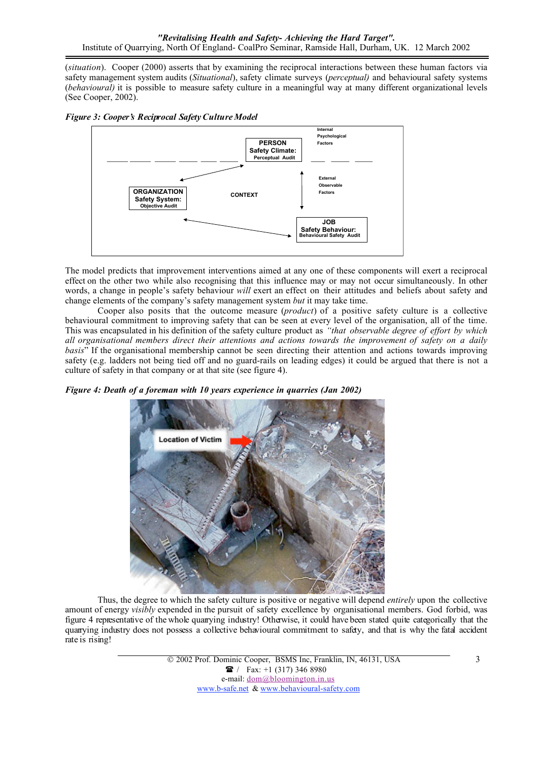(*situation*). Cooper (2000) asserts that by examining the reciprocal interactions between these human factors via safety management system audits (*Situational*), safety climate surveys (*perceptual)* and behavioural safety systems (*behavioural)* it is possible to measure safety culture in a meaningful way at many different organizational levels (See Cooper, 2002).





The model predicts that improvement interventions aimed at any one of these components will exert a reciprocal effect on the other two while also recognising that this influence may or may not occur simultaneously. In other words, a change in people's safety behaviour *will* exert an effect on their attitudes and beliefs about safety and change elements of the company's safety management system *but* it may take time.

Cooper also posits that the outcome measure (*product*) of a positive safety culture is a collective behavioural commitment to improving safety that can be seen at every level of the organisation, all of the time. This was encapsulated in his definition of the safety culture product as *"that observable degree of effort by which all organisational members direct their attentions and actions towards the improvement of safety on a daily basis*" If the organisational membership cannot be seen directing their attention and actions towards improving safety (e.g. ladders not being tied off and no guard-rails on leading edges) it could be argued that there is not a culture of safety in that company or at that site (see figure 4).

*Figure 4: Death of a foreman with 10 years experience in quarries (Jan 2002)*



Thus, the degree to which the safety culture is positive or negative will depend *entirely* upon the collective amount of energy *visibly* expended in the pursuit of safety excellence by organisational members. God forbid, was figure 4 representative of the whole quarrying industry! Otherwise, it could have been stated quite categorically that the quarrying industry does not possess a collective behavioural commitment to safety, and that is why the fatal accident rate is rising!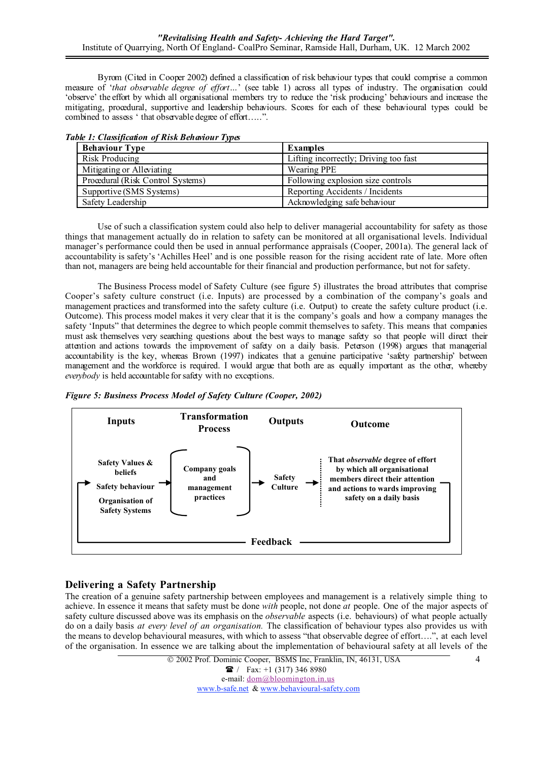Byrom (Cited in Cooper 2002) defined a classification of risk behaviour types that could comprise a common measure of '*that observable degree of effort…*' (see table 1) across all types of industry. The organisation could 'observe' the effort by which all organisational members try to reduce the 'risk producing' behaviours and increase the mitigating, procedural, supportive and leadership behaviours. Scores for each of these behavioural types could be combined to assess ' that observable degree of effort…..".

| aoic 1. Chashfuanon of Rish Benanoni Types |                                   |                                       |
|--------------------------------------------|-----------------------------------|---------------------------------------|
|                                            | <b>Behaviour Type</b>             | <b>Examples</b>                       |
|                                            | Risk Producing                    | Lifting incorrectly; Driving too fast |
|                                            | Mitigating or Alleviating         | Wearing PPE                           |
|                                            | Procedural (Risk Control Systems) | Following explosion size controls     |
|                                            | Supportive (SMS Systems)          | Reporting Accidents / Incidents       |
|                                            | Safety Leadership                 | Acknowledging safe behaviour          |

*Table 1: Classification of Risk Behaviour Types*

Use of such a classification system could also help to deliver managerial accountability for safety as those things that management actually do in relation to safety can be monitored at all organisational levels. Individual manager's performance could then be used in annual performance appraisals (Cooper, 2001a). The general lack of accountability is safety's 'Achilles Heel' and is one possible reason for the rising accident rate of late. More often than not, managers are being held accountable for their financial and production performance, but not for safety.

The Business Process model of Safety Culture (see figure 5) illustrates the broad attributes that comprise Cooper's safety culture construct (i.e. Inputs) are processed by a combination of the company's goals and management practices and transformed into the safety culture (i.e. Output) to create the safety culture product (i.e. Outcome). This process model makes it very clear that it is the company's goals and how a company manages the safety 'Inputs" that determines the degree to which people commit themselves to safety. This means that companies must ask themselves very searching questions about the best ways to manage safety so that people will direct their attention and actions towards the improvement of safety on a daily basis. Peterson (1998) argues that managerial accountability is the key, whereas Brown (1997) indicates that a genuine participative 'safety partnership' between management and the workforce is required. I would argue that both are as equally important as the other, whereby *everybody* is held accountable for safety with no exceptions.





# Delivering a Safety Partnership

The creation of a genuine safety partnership between employees and management is a relatively simple thing to achieve. In essence it means that safety must be done *with* people, not done *at* people. One of the major aspects of safety culture discussed above was its emphasis on the *observable* aspects (i.e. behaviours) of what people actually do on a daily basis *at every level of an organisation.* The classification of behaviour types also provides us with the means to develop behavioural measures, with which to assess "that observable degree of effort….", at each level of the organisation. In essence we are talking about the implementation of behavioural safety at all levels of the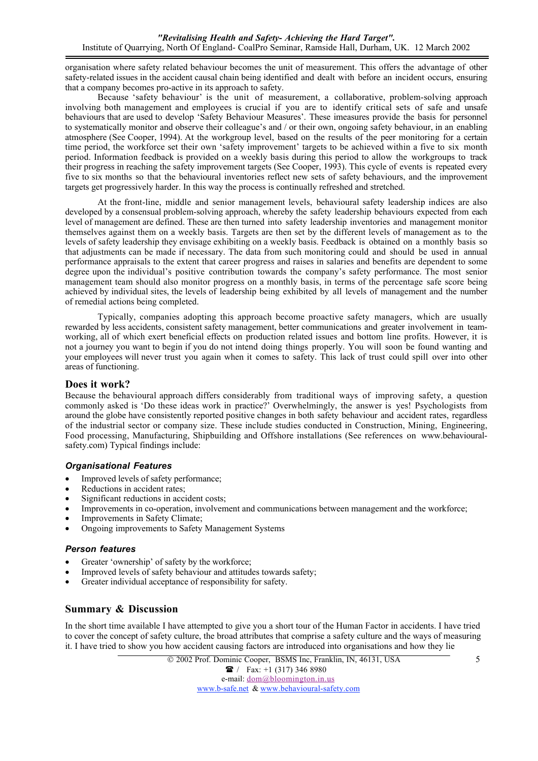organisation where safety related behaviour becomes the unit of measurement. This offers the advantage of other safety-related issues in the accident causal chain being identified and dealt with before an incident occurs, ensuring that a company becomes pro-active in its approach to safety.

Because 'safety behaviour' is the unit of measurement, a collaborative, problem-solving approach involving both management and employees is crucial if you are to identify critical sets of safe and unsafe behaviours that are used to develop 'Safety Behaviour Measures'. These imeasures provide the basis for personnel to systematically monitor and observe their colleague's and / or their own, ongoing safety behaviour, in an enabling atmosphere (See Cooper, 1994). At the workgroup level, based on the results of the peer monitoring for a certain time period, the workforce set their own 'safety improvement' targets to be achieved within a five to six month period. Information feedback is provided on a weekly basis during this period to allow the workgroups to track their progress in reaching the safety improvement targets (See Cooper, 1993). This cycle of events is repeated every five to six months so that the behavioural inventories reflect new sets of safety behaviours, and the improvement targets get progressively harder. In this way the process is continually refreshed and stretched.

At the front-line, middle and senior management levels, behavioural safety leadership indices are also developed by a consensual problem-solving approach, whereby the safety leadership behaviours expected from each level of management are defined. These are then turned into safety leadership inventories and management monitor themselves against them on a weekly basis. Targets are then set by the different levels of management as to the levels of safety leadership they envisage exhibiting on a weekly basis. Feedback is obtained on a monthly basis so that adjustments can be made if necessary. The data from such monitoring could and should be used in annual performance appraisals to the extent that career progress and raises in salaries and benefits are dependent to some degree upon the individual's positive contribution towards the company's safety performance. The most senior management team should also monitor progress on a monthly basis, in terms of the percentage safe score being achieved by individual sites, the levels of leadership being exhibited by all levels of management and the number of remedial actions being completed.

Typically, companies adopting this approach become proactive safety managers, which are usually rewarded by less accidents, consistent safety management, better communications and greater involvement in teamworking, all of which exert beneficial effects on production related issues and bottom line profits. However, it is not a journey you want to begin if you do not intend doing things properly. You will soon be found wanting and your employees will never trust you again when it comes to safety. This lack of trust could spill over into other areas of functioning.

### Does it work?

Because the behavioural approach differs considerably from traditional ways of improving safety, a question commonly asked is 'Do these ideas work in practice?' Overwhelmingly, the answer is yes! Psychologists from around the globe have consistently reported positive changes in both safety behaviour and accident rates, regardless of the industrial sector or company size. These include studies conducted in Construction, Mining, Engineering, Food processing, Manufacturing, Shipbuilding and Offshore installations (See references on www.behaviouralsafety.com) Typical findings include:

### *Organisational Features*

- Improved levels of safety performance;
- Reductions in accident rates;
- Significant reductions in accident costs;
- Improvements in co-operation, involvement and communications between management and the workforce;
- Improvements in Safety Climate;
- Ongoing improvements to Safety Management Systems

### *Person features*

- Greater 'ownership' of safety by the workforce;
- Improved levels of safety behaviour and attitudes towards safety;
- Greater individual acceptance of responsibility for safety.

# Summary & Discussion

In the short time available I have attempted to give you a short tour of the Human Factor in accidents. I have tried to cover the concept of safety culture, the broad attributes that comprise a safety culture and the ways of measuring it. I have tried to show you how accident causing factors are introduced into organisations and how they lie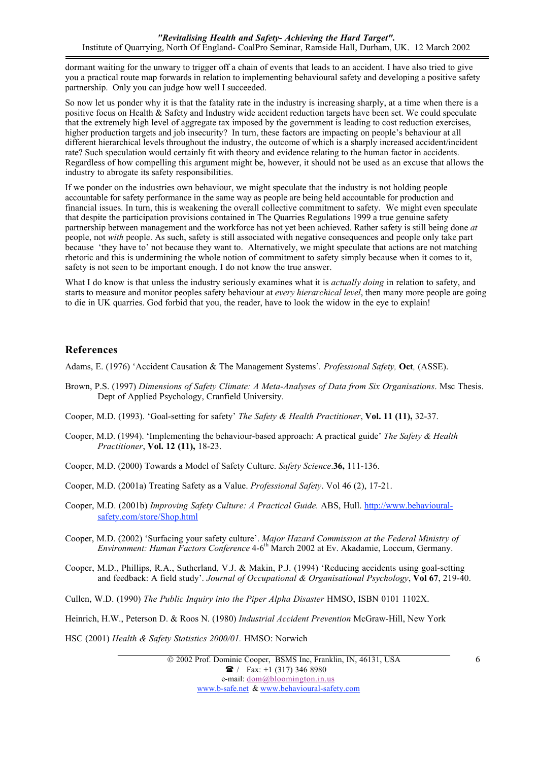dormant waiting for the unwary to trigger off a chain of events that leads to an accident. I have also tried to give you a practical route map forwards in relation to implementing behavioural safety and developing a positive safety partnership. Only you can judge how well I succeeded.

So now let us ponder why it is that the fatality rate in the industry is increasing sharply, at a time when there is a positive focus on Health & Safety and Industry wide accident reduction targets have been set. We could speculate that the extremely high level of aggregate tax imposed by the government is leading to cost reduction exercises, higher production targets and job insecurity? In turn, these factors are impacting on people's behaviour at all different hierarchical levels throughout the industry, the outcome of which is a sharply increased accident/incident rate? Such speculation would certainly fit with theory and evidence relating to the human factor in accidents. Regardless of how compelling this argument might be, however, it should not be used as an excuse that allows the industry to abrogate its safety responsibilities.

If we ponder on the industries own behaviour, we might speculate that the industry is not holding people accountable for safety performance in the same way as people are being held accountable for production and financial issues. In turn, this is weakening the overall collective commitment to safety. We might even speculate that despite the participation provisions contained in The Quarries Regulations 1999 a true genuine safety partnership between management and the workforce has not yet been achieved. Rather safety is still being done *at* people, not *with* people. As such, safety is still associated with negative consequences and people only take part because 'they have to' not because they want to. Alternatively, we might speculate that actions are not matching rhetoric and this is undermining the whole notion of commitment to safety simply because when it comes to it, safety is not seen to be important enough. I do not know the true answer.

What I do know is that unless the industry seriously examines what it is *actually doing* in relation to safety, and starts to measure and monitor peoples safety behaviour at *every hierarchical level*, then many more people are going to die in UK quarries. God forbid that you, the reader, have to look the widow in the eye to explain!

# References

Adams, E. (1976) 'Accident Causation & The Management Systems'*. Professional Safety,* Oct*,* (ASSE).

- Brown, P.S. (1997) *Dimensions of Safety Climate: A Meta-Analyses of Data from Six Organisations*. Msc Thesis. Dept of Applied Psychology, Cranfield University.
- Cooper, M.D. (1993). 'Goal-setting for safety' *The Safety & Health Practitioner*, Vol. 11 (11), 32-37.
- Cooper, M.D. (1994). 'Implementing the behaviour-based approach: A practical guide' *The Safety & Health Practitioner*, Vol. 12 (11), 18-23.
- Cooper, M.D. (2000) Towards a Model of Safety Culture. *Safety Science*.36, 111-136.
- Cooper, M.D. (2001a) Treating Safety as a Value. *Professional Safety*. Vol 46 (2), 17-21.
- Cooper, M.D. (2001b) *Improving Safety Culture: A Practical Guide.* ABS, Hull. http://www.behaviouralsafety.com/store/Shop.html
- Cooper, M.D. (2002) 'Surfacing your safety culture'. *Major Hazard Commission at the Federal Ministry of Environment: Human Factors Conference* 4-6<sup>th</sup> March 2002 at Ev. Akadamie, Loccum, Germany.
- Cooper, M.D., Phillips, R.A., Sutherland, V.J. & Makin, P.J. (1994) 'Reducing accidents using goal-setting and feedback: A field study'. *Journal of Occupational & Organisational Psychology*, Vol 67, 219-40.
- Cullen, W.D. (1990) *The Public Inquiry into the Piper Alpha Disaster* HMSO, ISBN 0101 1102X.

Heinrich, H.W., Peterson D. & Roos N. (1980) *Industrial Accident Prevention* McGraw-Hill, New York

HSC (2001) *Health & Safety Statistics 2000/01.* HMSO: Norwich